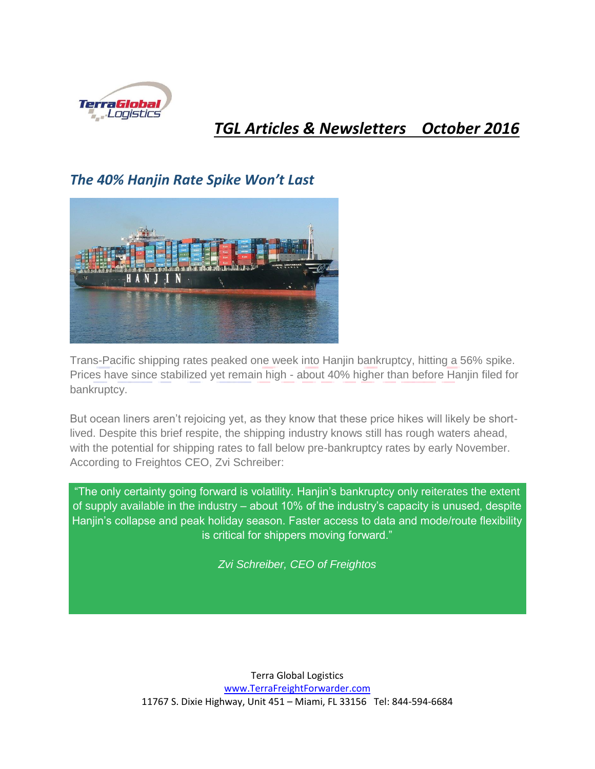

#### *TGL Articles & Newsletters October 2016*

#### *The 40% Hanjin Rate Spike Won't Last*



Trans-Pacific shipping rates peaked one week into Hanjin bankruptcy, hitting a 56% spike. Prices have since stabilized yet remain high - about 40% higher than before Hanjin filed for bankruptcy.

But ocean liners aren't rejoicing yet, as they know that these price hikes will likely be shortlived. Despite this brief respite, the shipping industry knows still has rough waters ahead, with the potential for shipping rates to fall below pre-bankruptcy rates by early November. According to Freightos CEO, Zvi Schreiber:

"The only certainty going forward is volatility. Hanjin's bankruptcy only reiterates the extent of supply available in the industry – about 10% of the industry's capacity is unused, despite Hanjin's collapse and peak holiday season. Faster access to data and mode/route flexibility is critical for shippers moving forward."

*Zvi Schreiber, CEO of Freightos*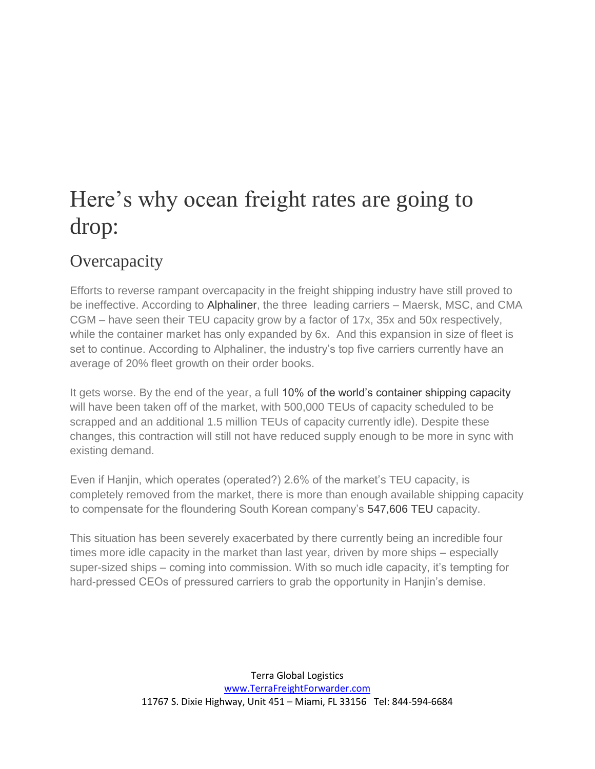# Here's why ocean freight rates are going to drop:

#### **Overcapacity**

Efforts to reverse rampant overcapacity in the freight shipping industry have still proved to be ineffective. According to [Alphaliner,](http://shippingwatch.com/secure/carriers/Container/article9012840.ece) the three leading carriers – Maersk, MSC, and CMA CGM – have seen their TEU capacity grow by a factor of 17x, 35x and 50x respectively, while the container market has only expanded by 6x. And this expansion in size of fleet is set to continue. According to Alphaliner, the industry's top five carriers currently have an average of 20% fleet growth on their order books.

It gets worse. By the end of the year, a full [10% of the world's container shipping capacity](http://www.joc.com/maritime-news/overcapacity-plague-container-lines-years-analysts-say_20160920.html) will have been taken off of the market, with 500,000 TEUs of capacity scheduled to be scrapped and an additional 1.5 million TEUs of capacity currently idle). Despite these changes, this contraction will still not have reduced supply enough to be more in sync with existing demand.

Even if Hanjin, which operates (operated?) 2.6% of the market's TEU capacity, is completely removed from the market, there is more than enough available shipping capacity to compensate for the floundering South Korean company's [547,606 TEU](http://www.alphaliner.com/top100/) capacity.

This situation has been severely exacerbated by there currently being an incredible four times more idle capacity in the market than last year, driven by more ships – especially super-sized ships – coming into commission. With so much idle capacity, it's tempting for hard-pressed CEOs of pressured carriers to grab the opportunity in Hanjin's demise.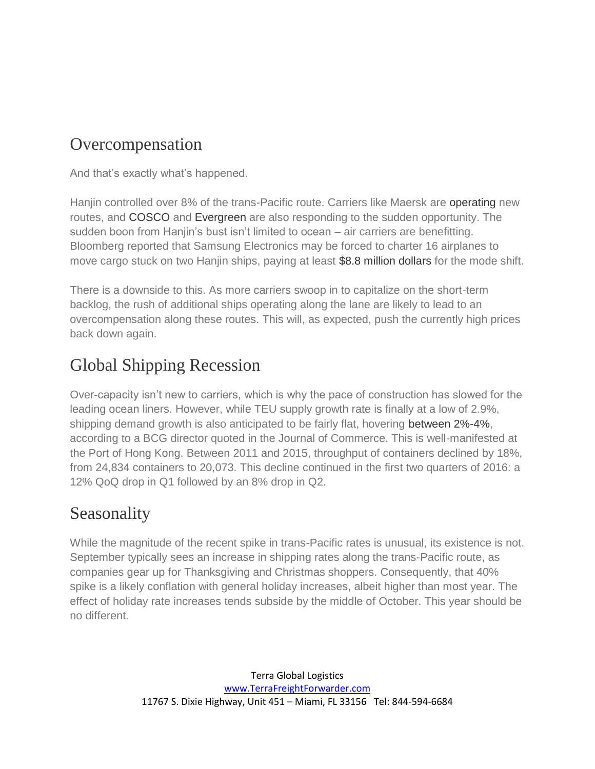### Overcompensation

And that's exactly what's happened.

Hanjin controlled over 8% of the trans-Pacific route. Carriers like Maersk are [operating](https://www.ft.com/content/94281be6-7a7a-11e6-ae24-f193b105145e) new routes, and [COSCO](http://www.hellenicshippingnews.com/cosco-shipping-sees-better-2017-as-hanjin-collapse-pushes-up-rates/) and [Evergreen](http://globaltrademag.com/global-logistics/ocean-carriers/evergreen-responds-hanjin-disruptions?gtd=3850&scn=ocean-carriers) are also responding to the sudden opportunity. The sudden boon from Hanjin's bust isn't limited to ocean – air carriers are benefitting. Bloomberg reported that Samsung Electronics may be forced to charter 16 airplanes to move cargo stuck on two Hanjin ships, paying at least [\\$8.8 million dollars](http://www.bloomberg.com/news/articles/2016-09-07/samsung-says-38-million-of-goods-on-board-two-hanjin-vessels) for the mode shift.

There is a downside to this. As more carriers swoop in to capitalize on the short-term backlog, the rush of additional ships operating along the lane are likely to lead to an overcompensation along these routes. This will, as expected, push the currently high prices back down again.

# Global Shipping Recession

Over-capacity isn't new to carriers, which is why the pace of construction has slowed for the leading ocean liners. However, while TEU supply growth rate is finally at a low of 2.9%, shipping demand growth is also anticipated to be fairly flat, hovering [between 2%-4%,](http://www.joc.com/maritime-news/overcapacity-plague-container-lines-years-analysts-say_20160920.html) according to a BCG director quoted in the Journal of Commerce. This is well-manifested at the Port of Hong Kong. Between 2011 and 2015, throughput of containers declined by 18%, from 24,834 containers to 20,073. This decline continued in the first two quarters of 2016: a 12% QoQ drop in Q1 followed by an 8% drop in Q2.

## Seasonality

While the magnitude of the recent spike in trans-Pacific rates is unusual, its existence is not. September typically sees an increase in shipping rates along the trans-Pacific route, as companies gear up for Thanksgiving and Christmas shoppers. Consequently, that 40% spike is a likely conflation with general holiday increases, albeit higher than most year. The effect of holiday rate increases tends subside by the middle of October. This year should be no different.